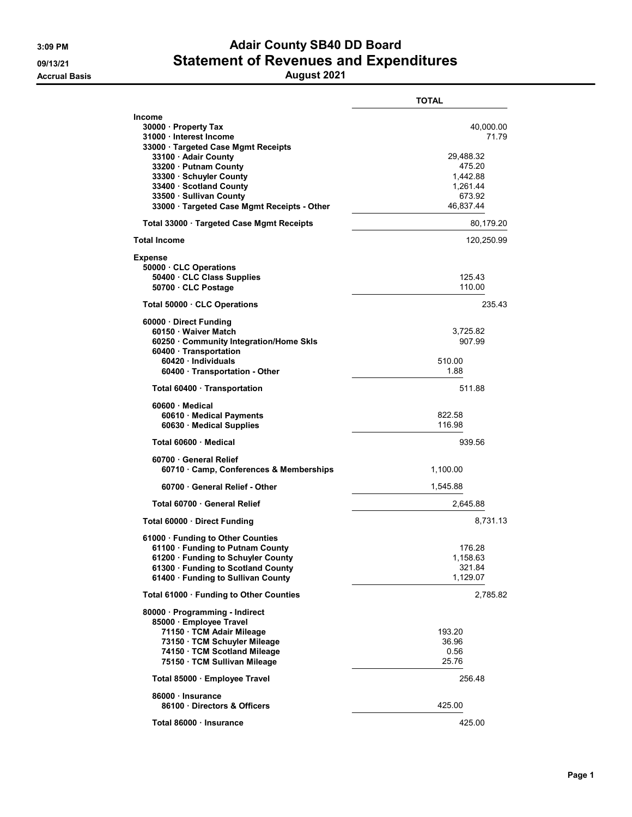## 3:09 PM **Adair County SB40 DD Board** 09/13/21 Statement of Revenues and Expenditures

Accrual Basis August 2021

|                                                                                                                                                                                                                                                                                   | TOTAL                                                                                    |
|-----------------------------------------------------------------------------------------------------------------------------------------------------------------------------------------------------------------------------------------------------------------------------------|------------------------------------------------------------------------------------------|
| Income<br>30000 · Property Tax<br>31000 · Interest Income<br>33000 · Targeted Case Mgmt Receipts<br>33100 · Adair County<br>33200 · Putnam County<br>33300 · Schuyler County<br>33400 · Scotland County<br>33500 · Sullivan County<br>33000 · Targeted Case Mgmt Receipts - Other | 40,000.00<br>71.79<br>29,488.32<br>475.20<br>1,442.88<br>1,261.44<br>673.92<br>46,837.44 |
| Total 33000 · Targeted Case Mgmt Receipts                                                                                                                                                                                                                                         | 80,179.20                                                                                |
| <b>Total Income</b>                                                                                                                                                                                                                                                               | 120,250.99                                                                               |
| <b>Expense</b><br>50000 · CLC Operations<br>50400 CLC Class Supplies<br>50700 · CLC Postage                                                                                                                                                                                       | 125.43<br>110.00                                                                         |
| Total 50000 CLC Operations                                                                                                                                                                                                                                                        | 235.43                                                                                   |
| 60000 Direct Funding<br>60150 · Waiver Match<br>60250 Community Integration/Home Skls<br>60400 · Transportation<br>60420 · Individuals<br>60400 Transportation - Other                                                                                                            | 3,725.82<br>907.99<br>510.00<br>1.88                                                     |
| Total 60400 Transportation                                                                                                                                                                                                                                                        | 511.88                                                                                   |
| 60600 · Medical<br>60610 · Medical Payments<br>60630 · Medical Supplies                                                                                                                                                                                                           | 822.58<br>116.98                                                                         |
| Total 60600 · Medical                                                                                                                                                                                                                                                             | 939.56                                                                                   |
| 60700 · General Relief<br>60710 Camp, Conferences & Memberships                                                                                                                                                                                                                   | 1,100.00                                                                                 |
| 60700 General Relief - Other                                                                                                                                                                                                                                                      | 1,545.88                                                                                 |
| Total 60700 · General Relief                                                                                                                                                                                                                                                      | 2,645.88                                                                                 |
| Total 60000 Direct Funding                                                                                                                                                                                                                                                        | 8,731.13                                                                                 |
| 61000 · Funding to Other Counties<br>61100 · Funding to Putnam County<br>61200 · Funding to Schuyler County<br>61300 · Funding to Scotland County<br>61400 · Funding to Sullivan County                                                                                           | 176.28<br>1,158.63<br>321.84<br>1,129.07                                                 |
| Total 61000 · Funding to Other Counties                                                                                                                                                                                                                                           | 2,785.82                                                                                 |
| 80000 · Programming - Indirect<br>85000 · Employee Travel<br>71150 · TCM Adair Mileage<br>73150 · TCM Schuyler Mileage<br>74150 · TCM Scotland Mileage<br>75150 · TCM Sullivan Mileage                                                                                            | 193.20<br>36.96<br>0.56<br>25.76                                                         |
| Total 85000 · Employee Travel                                                                                                                                                                                                                                                     | 256.48                                                                                   |
| 86000 · Insurance<br>86100 Directors & Officers                                                                                                                                                                                                                                   | 425.00                                                                                   |
| Total 86000 · Insurance                                                                                                                                                                                                                                                           | 425.00                                                                                   |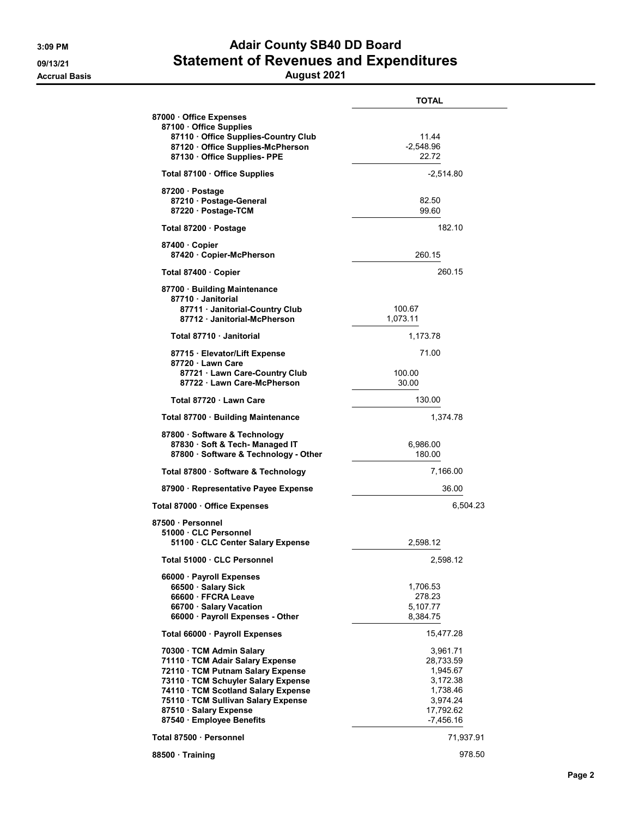## 3:09 PM **Adair County SB40 DD Board** 09/13/21 Statement of Revenues and Expenditures

## Accrual Basis August 2021

|                                                              | <b>TOTAL</b>         |
|--------------------------------------------------------------|----------------------|
| 87000 Office Expenses<br>87100 Office Supplies               |                      |
| 87110 Office Supplies-Country Club                           | 11.44                |
| 87120 Office Supplies-McPherson<br>87130 Office Supplies-PPE | $-2,548.96$<br>22.72 |
|                                                              |                      |
| Total 87100 · Office Supplies                                | $-2,514.80$          |
| 87200 Postage                                                |                      |
| 87210 · Postage-General                                      | 82.50<br>99.60       |
| 87220 · Postage-TCM                                          |                      |
| Total 87200 · Postage                                        | 182.10               |
| 87400 Copier                                                 |                      |
| 87420 Copier-McPherson                                       | 260.15               |
| Total 87400 · Copier                                         | 260.15               |
| 87700 · Building Maintenance                                 |                      |
| 87710 Janitorial<br>87711 · Janitorial-Country Club          | 100.67               |
| 87712 Janitorial-McPherson                                   | 1,073.11             |
| Total 87710 · Janitorial                                     | 1,173.78             |
|                                                              |                      |
| 87715 · Elevator/Lift Expense<br>87720 Lawn Care             | 71.00                |
| 87721 · Lawn Care-Country Club                               | 100.00               |
| 87722 Lawn Care-McPherson                                    | 30.00                |
| Total 87720 Lawn Care                                        | 130.00               |
| Total 87700 · Building Maintenance                           | 1,374.78             |
| 87800 · Software & Technology                                |                      |
| 87830 · Soft & Tech- Managed IT                              | 6,986.00             |
| 87800 · Software & Technology - Other                        | 180.00               |
| Total 87800 · Software & Technology                          | 7,166.00             |
| 87900 · Representative Payee Expense                         | 36.00                |
| Total 87000 · Office Expenses                                | 6,504.23             |
| 87500 · Personnel                                            |                      |
| 51000 CLC Personnel                                          |                      |
| 51100 CLC Center Salary Expense                              | 2,598.12             |
| Total 51000 · CLC Personnel                                  | 2,598.12             |
| 66000 · Payroll Expenses                                     |                      |
| 66500 Salary Sick                                            | 1,706.53             |
| 66600 · FFCRA Leave                                          | 278.23               |
| 66700 · Salary Vacation<br>66000 · Payroll Expenses - Other  | 5,107.77<br>8,384.75 |
| Total 66000 · Payroll Expenses                               | 15,477.28            |
| 70300 TCM Admin Salary                                       | 3,961.71             |
| 71110 · TCM Adair Salary Expense                             | 28,733.59            |
| 72110 · TCM Putnam Salary Expense                            | 1,945.67             |
| 73110 · TCM Schuyler Salary Expense                          | 3,172.38             |
| 74110 · TCM Scotland Salary Expense                          | 1,738.46             |
| 75110 · TCM Sullivan Salary Expense                          | 3,974.24             |
| 87510 · Salary Expense                                       | 17,792.62            |
| 87540 · Employee Benefits                                    | $-7,456.16$          |
| Total 87500 · Personnel                                      | 71,937.91            |
| 88500 · Training                                             | 978.50               |